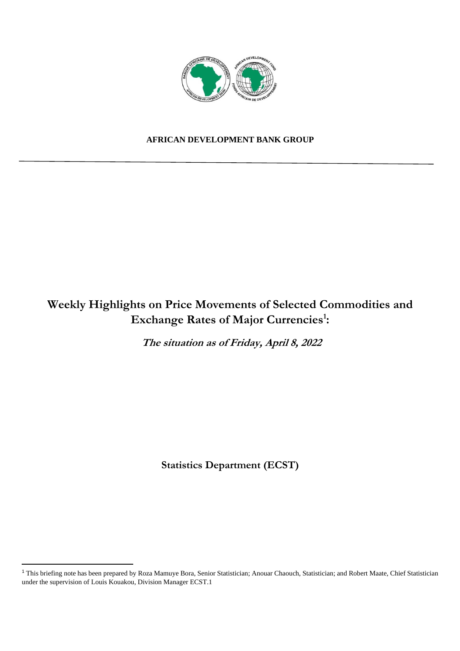

## **AFRICAN DEVELOPMENT BANK GROUP**

# **Weekly Highlights on Price Movements of Selected Commodities and Exchange Rates of Major Currencies<sup>1</sup> :**

**The situation as of Friday, April 8, 2022** 

**Statistics Department (ECST)** 

<sup>&</sup>lt;sup>1</sup> This briefing note has been prepared by Roza Mamuye Bora, Senior Statistician; Anouar Chaouch, Statistician; and Robert Maate, Chief Statistician under the supervision of Louis Kouakou, Division Manager ECST.1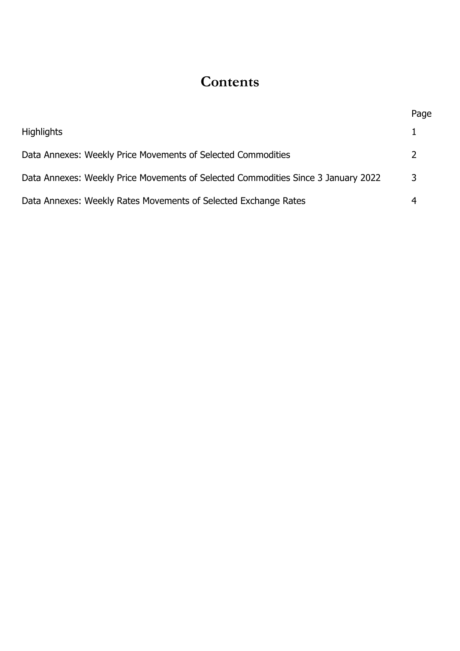# **Contents**

|                                                                                   | Page          |
|-----------------------------------------------------------------------------------|---------------|
| <b>Highlights</b>                                                                 |               |
| Data Annexes: Weekly Price Movements of Selected Commodities                      | $\mathcal{L}$ |
| Data Annexes: Weekly Price Movements of Selected Commodities Since 3 January 2022 | 3             |
| Data Annexes: Weekly Rates Movements of Selected Exchange Rates                   |               |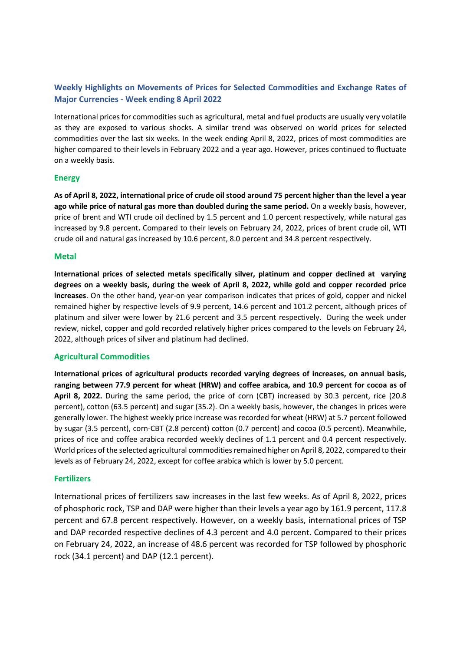## **Weekly Highlights on Movements of Prices for Selected Commodities and Exchange Rates of Major Currencies - Week ending 8 April 2022**

International prices for commodities such as agricultural, metal and fuel products are usually very volatile as they are exposed to various shocks. A similar trend was observed on world prices for selected commodities over the last six weeks. In the week ending April 8, 2022, prices of most commodities are higher compared to their levels in February 2022 and a year ago. However, prices continued to fluctuate on a weekly basis.

#### **Energy**

**As of April 8, 2022, international price of crude oil stood around 75 percent higher than the level a year ago while price of natural gas more than doubled during the same period.** On a weekly basis, however, price of brent and WTI crude oil declined by 1.5 percent and 1.0 percent respectively, while natural gas increased by 9.8 percent**.** Compared to their levels on February 24, 2022, prices of brent crude oil, WTI crude oil and natural gas increased by 10.6 percent, 8.0 percent and 34.8 percent respectively.

#### **Metal**

**International prices of selected metals specifically silver, platinum and copper declined at varying degrees on a weekly basis, during the week of April 8, 2022, while gold and copper recorded price increases**. On the other hand, year-on year comparison indicates that prices of gold, copper and nickel remained higher by respective levels of 9.9 percent, 14.6 percent and 101.2 percent, although prices of platinum and silver were lower by 21.6 percent and 3.5 percent respectively. During the week under review, nickel, copper and gold recorded relatively higher prices compared to the levels on February 24, 2022, although prices of silver and platinum had declined.

#### **Agricultural Commodities**

**International prices of agricultural products recorded varying degrees of increases, on annual basis, ranging between 77.9 percent for wheat (HRW) and coffee arabica, and 10.9 percent for cocoa as of April 8, 2022.** During the same period, the price of corn (CBT) increased by 30.3 percent, rice (20.8 percent), cotton (63.5 percent) and sugar (35.2). On a weekly basis, however, the changes in prices were generally lower. The highest weekly price increase was recorded for wheat (HRW) at 5.7 percent followed by sugar (3.5 percent), corn-CBT (2.8 percent) cotton (0.7 percent) and cocoa (0.5 percent). Meanwhile, prices of rice and coffee arabica recorded weekly declines of 1.1 percent and 0.4 percent respectively. World prices of the selected agricultural commodities remained higher on April 8, 2022, compared to their levels as of February 24, 2022, except for coffee arabica which is lower by 5.0 percent.

#### **Fertilizers**

International prices of fertilizers saw increases in the last few weeks. As of April 8, 2022, prices of phosphoric rock, TSP and DAP were higher than their levels a year ago by 161.9 percent, 117.8 percent and 67.8 percent respectively. However, on a weekly basis, international prices of TSP and DAP recorded respective declines of 4.3 percent and 4.0 percent. Compared to their prices on February 24, 2022, an increase of 48.6 percent was recorded for TSP followed by phosphoric rock (34.1 percent) and DAP (12.1 percent).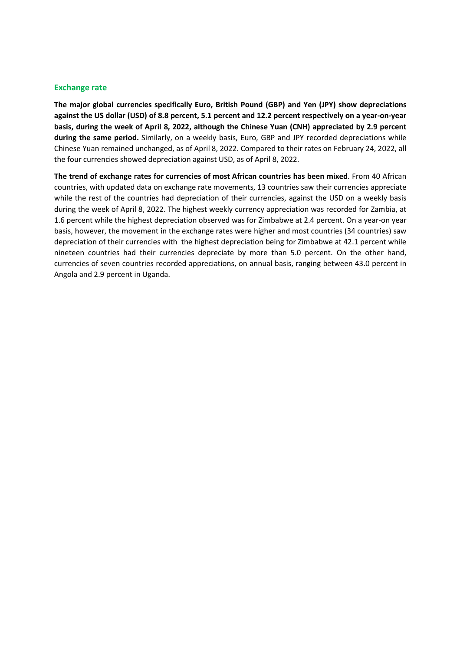#### **Exchange rate**

**The major global currencies specifically Euro, British Pound (GBP) and Yen (JPY) show depreciations against the US dollar (USD) of 8.8 percent, 5.1 percent and 12.2 percent respectively on a year-on-year basis, during the week of April 8, 2022, although the Chinese Yuan (CNH) appreciated by 2.9 percent during the same period.** Similarly, on a weekly basis, Euro, GBP and JPY recorded depreciations while Chinese Yuan remained unchanged, as of April 8, 2022. Compared to their rates on February 24, 2022, all the four currencies showed depreciation against USD, as of April 8, 2022.

**The trend of exchange rates for currencies of most African countries has been mixed**. From 40 African countries, with updated data on exchange rate movements, 13 countries saw their currencies appreciate while the rest of the countries had depreciation of their currencies, against the USD on a weekly basis during the week of April 8, 2022. The highest weekly currency appreciation was recorded for Zambia, at 1.6 percent while the highest depreciation observed was for Zimbabwe at 2.4 percent. On a year-on year basis, however, the movement in the exchange rates were higher and most countries (34 countries) saw depreciation of their currencies with the highest depreciation being for Zimbabwe at 42.1 percent while nineteen countries had their currencies depreciate by more than 5.0 percent. On the other hand, currencies of seven countries recorded appreciations, on annual basis, ranging between 43.0 percent in Angola and 2.9 percent in Uganda.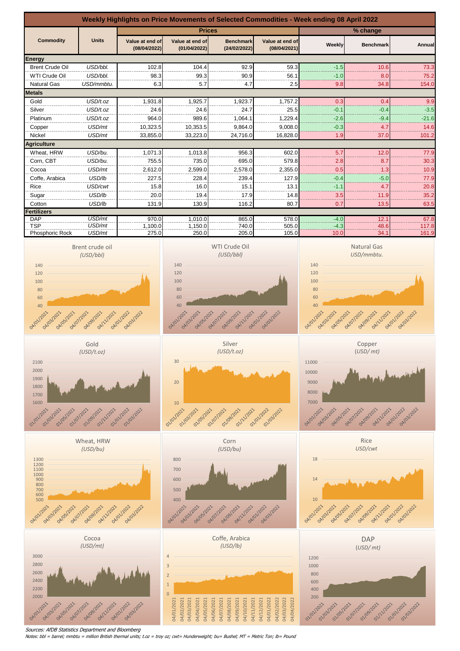

Sources: AfDB Statistics Department and Bloomberg

Notes: bbl = barrel; mmbtu = million British thermal units; t.oz = troy oz; cwt= Hunderweight; bu= Bushel; MT = Metric Ton; lb= Pound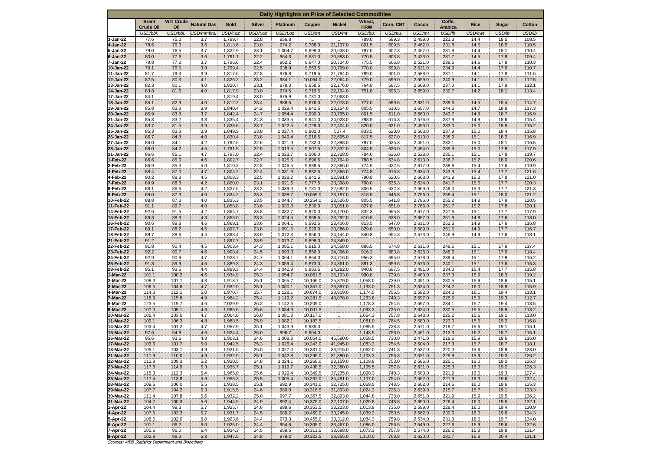| Daily Highlights on Price of Selected Commodities |                                                   |                  |                    |                    |               |                    |                      |                      |                       |                |                    |                   |              |              |                |
|---------------------------------------------------|---------------------------------------------------|------------------|--------------------|--------------------|---------------|--------------------|----------------------|----------------------|-----------------------|----------------|--------------------|-------------------|--------------|--------------|----------------|
|                                                   | <b>Brent</b>                                      | <b>WTI Crude</b> | <b>Natural Gas</b> | Gold               | <b>Silver</b> | <b>Platinum</b>    | Copper               | <b>Nickel</b>        | Wheat,                | Corn, CBT      | Cocoa              | Coffe,            | Rice         | <b>Sugar</b> | Cotton         |
|                                                   | <b>Crude Oil</b><br>USD/bbl.                      | Oil<br>USD/bbl.  | USD/mmbtu.         | USD/t.oz           | USD/t.oz      | USD/t.oz           | USD/mt               | USD/mt               | <b>HRW</b><br>USD/bu. | USD/bu.        | USD/mt             | Arabica<br>USD/lb | USD/cwt      | USD/lb       | USD/lb         |
| 3-Jan-22                                          | 77.6                                              | 75.0             | 3.7                | 1,799.7            | 22.8          | 956.8              | $\cdots$             |                      | 789.0                 | 589.3          | 2,499.0            | 223.3             | 14.4         | 18.5         | 108.5          |
| 4-Jan-22                                          | 78.6                                              | 76.0             | 3.6                | 1,813.6            | 23.0          | 974.2              | 9,768.0              | 21,137.0             | 801.5                 | 609.5          | 2,462.0            | 231.8             | 14.5         | 18.5         | 110.5          |
| 5-Jan-22<br>6-Jan-22                              | 79.0<br>80.0                                      | 76.5<br>77.6     | 3.7<br>3.6         | 1,822.9<br>1,791.1 | 23.1<br>22.2  | 1,004.7<br>964.3   | 9,698.0<br>9,531.0   | 20,638.0<br>20,383.0 | 787.0<br>770.5        | 602.3<br>603.8 | 2,457.0<br>2,423.0 | 231.8<br>231.7    | 14.4<br>14.5 | 18.1<br>17.9 | 110.4<br>109.4 |
| 7-Jan-22                                          | 79.8                                              | 77.2             | 3.7                | 1,796.6            | 22.4          | 962.2              | 9,647.0              | 20,734.0             | 775.5                 | 606.8          | 2,521.0            | 238.5             | 14.6         | 17.8         | 110.3          |
| 10-Jan-22                                         | 79.1                                              | 76.5             | 3.8                | 1,799.4            | 22.5          | 938.9              | 9,563.5              | 20,799.0             | 778.0                 | 599.8          | 2,521.0            | 234.9             | 14.4         | 17.6         | 110.7          |
| 11-Jan-22                                         | 81.7                                              | 79.3             | 3.9                | 1,817.6            | 22.8          | 976.8              | 9,719.5              | 21,794.0             | 789.0                 | 601.0          | 2,588.0            | 237.1             | 14.1         | 17.8         | 111.6          |
| 12-Jan-22<br>13-Jan-22                            | 82.5<br>82.3                                      | 80.3<br>80.1     | 4.1<br>4.0         | 1,826.2<br>1,820.7 | 23.2<br>23.1  | 984.1<br>978.3     | 10,064.0<br>9,958.5  | 22,064.0<br>22,176.0 | 779.0<br>764.8        | 599.0<br>587.5 | 2,559.0<br>2,609.0 | 240.9<br>237.0    | 14.1<br>14.1 | 18.1<br>17.9 | 112.5<br>112.1 |
| 14-Jan-22                                         | 83.8                                              | 81.6             | 4.0                | 1,817.9            | 23.0          | 974.5              | 9,719.5              | 22,194.0             | 751.8                 | 596.3          | 2,659.0            | 239.7             | 14.2         | 18.1         | 113.4          |
| 17-Jan-22                                         | 84.1                                              | $\cdots$         |                    | 1,819.4            | 23.0          | 975.9              | 9,731.0              | 22,063.0             | $\cdots$              | $\cdots$       | $\cdots$           |                   |              |              | $\cdots$       |
| 18-Jan-22                                         | 85.1                                              | 82.9             | 4.0                | 1,812.2            | 23.4          | 988.5              | 9,676.0              | 22,073.0             | 777.0                 | 599.5          | 2,631.0            | 239.6             | 14.5         | 18.4         | 114.7          |
| 19-Jan-22<br>20-Jan-22                            | 85.8<br>85.9                                      | 83.8<br>83.8     | 3.9<br>3.7         | 1,840.4<br>1,842.4 | 24.2<br>24.7  | 1,029.4<br>1,054.4 | 9,841.5<br>9,990.0   | 23,154.0<br>23,795.0 | 805.5<br>801.5        | 610.5<br>611.0 | 2,657.0<br>2,660.0 | 244.5<br>243.7    | 14.7<br>14.8 | 18.8<br>18.7 | 117.3<br>116.9 |
| 21-Jan-22                                         | 85.3                                              | 83.2             | 3.8                | 1,835.4            | 24.3          | 1,033.5            | 9,941.0              | 24,028.0             | 798.5                 | 616.3          | 2,576.0            | 237.9             | 14.9         | 18.6         | 115.4          |
| 24-Jan-22                                         | 83.7                                              | 81.5             | 3.9                | 1,838.6            | 23.7          | 1,022.5            | 9,728.0              | 22,404.0             | 820.0                 | 621.0          | 2,493.0            | 233.0             | 15.0         | 18.5         | 115.2          |
| 25-Jan-22                                         | 85.3                                              | 83.3             | 3.9                | 1,849.9            | 23.8          | 1,027.4            | 9,801.0              | 507.4                | 833.5                 | 620.0          | 2,503.0            | 237.9             | 15.0         | 18.4         | 115.8          |
| 26-Jan-22<br>27-Jan-22                            | 86.7<br>86.0                                      | 84.8<br>84.1     | 4.0<br>4.2         | 1,830.4<br>1,792.6 | 23.8<br>22.6  | 1,049.4<br>1,021.9 | 9,916.5<br>9,782.0   | 22,695.0<br>22,398.0 | 817.5<br>797.0        | 627.0<br>625.3 | 2,513.0<br>2,451.0 | 238.9<br>232.1    | 15.1<br>15.0 | 18.2<br>18.1 | 116.9<br>116.5 |
| 28-Jan-22                                         | 86.0                                              | 84.2             | 4.5                | 1,791.5            | 22.5          | 1,013.5            | 9,507.5              | 22,332.0             | 804.5                 | 636.0          | 2,494.0            | 235.9             | 15.0         | 17.9         | 117.9          |
| 31-Jan-22                                         | 86.6                                              | 85.1             | 4.7                | 1,797.0            | 22.4          | 1,023.7            | 9,506.0              | 22,328.0             | 784.0                 | 626.0          | 2,528.0            | 235.1             | 15.1         | 17.8         | 119.7          |
| 1-Feb-22                                          | 86.6                                              | 85.0             | 4.6                | 1,802.7            | 22.7          | 1,025.5            | 9,696.5              | 22,764.0             | 788.5                 | 634.8          | 2,613.0            | 236.7             | 15.2         | 18.0         | 120.6          |
| 2-Feb-22<br>3-Feb-22                              | 86.9<br>88.4                                      | 85.3<br>87.0     | 5.0<br>4.7         | 1,810.2<br>1,804.2 | 22.8<br>22.4  | 1,046.5<br>1,031.6 | 9,839.5<br>9,832.5   | 22,866.0<br>22,866.0 | 774.5<br>774.8        | 622.5<br>616.8 | 2,617.0<br>2,634.0 | 238.8<br>243.9    | 15.4<br>15.4 | 17.6<br>17.7 | 119.9<br>121.6 |
| 4-Feb-22                                          | 90.2                                              | 88.8             | 4.5                | 1,808.3            | 22.5          | 1,028.2            | 9,841.5              | 22,991.0             | 790.8                 | 620.5          | 2,668.0            | 241.9             | 15.3         | 17.8         | 121.0          |
| 7-Feb-22                                          | 89.9                                              | 88.3             | 4.2                | 1,820.0            | 23.1          | 1,021.6            | 9,777.5              | 23,398.0             | 798.0                 | 635.3          | 2,624.0            | 241.7             | 15.5         | 17.7         | 120.3          |
| 8-Feb-22                                          | 88.1                                              | 86.6             | 4.2                | 1,827.5            | 23.2          | 1,039.0            | 9,781.0              | 22,692.0             | 806.5                 | 632.3          | 2,669.0            | 249.0             | 15.3         | 17.7         | 121.3          |
| 9-Feb-22<br>10-Feb-22                             | 89.0<br>88.8                                      | 87.3<br>87.3     | 4.0<br>4.0         | 1,834.2<br>1,835.3 | 23.3<br>23.5  | 1,038.7<br>1,044.7 | 10,059.0<br>10,254.0 | 23,187.0<br>23,526.0 | 818.5<br>805.5        | 646.8<br>641.8 | 2,756.0<br>2,786.0 | 258.4<br>255.2    | 15.1<br>14.8 | 18.0<br>17.9 | 121.2<br>120.5 |
| 11-Feb-22                                         | 91.1                                              | 89.7             | 4.0                | 1,858.8            | 23.6          | 1,030.8            | 9,830.0              | 23,051.0             | 827.8                 | 651.0          | 2,766.0            | 251.7             | 15.2         | 17.8         | 120.1          |
| 14-Feb-22                                         | 92.6                                              | 91.5             | 4.2                | 1,864.7            | 23.8          | 1,032.7            | 9,920.0              | 23,170.0             | 832.3                 | 655.8          | 2,677.0            | 247.6             | 15.1         | 17.7         | 117.9          |
| 15-Feb-22                                         | 89.3                                              | 88.3             | 4.3                | 1,853.0            | 23.3          | 1,024.5            | 9,968.5              | 23,292.0             | 810.5                 | 638.0          | 2,667.0            | 251.9             | 14.8         | 17.6         | 118.0          |
| 16-Feb-22<br>17-Feb-22                            | 90.6<br>89.1                                      | 89.8<br>88.2     | 4.6<br>4.5         | 1,869.1<br>1,897.7 | 23.6<br>23.8  | 1,064.1<br>1,091.5 | 9,992.5<br>9,929.0   | 23,406.0<br>23,886.0 | 813.5<br>829.0        | 647.0<br>650.0 | 2,611.0<br>2,589.0 | 252.3<br>251.5    | 14.9<br>14.9 | 17.6<br>17.7 | 116.8<br>116.7 |
| 18-Feb-22                                         | 89.7                                              | 88.6             | 4.4                | 1,898.4            | 23.9          | 1,072.3            | 9,956.0              | 24,144.0             | 840.8                 | 654.3          | 2,573.0            | 246.9             | 14.9         | 17.6         | 118.1          |
| 21-Feb-22                                         | 91.2                                              | $\cdots$         | $\cdots$           | 1,897.7            | 23.9          | 1,073.7            | 9,898.0              | 24,349.0             | $\cdots$              | an i           | $\cdots$           | $\cdots$          | $\cdots$     | $\ldots$     | $\mathbb{R}^n$ |
| 22-Feb-22                                         | 91.8                                              | 90.4             | 4.5                | 1,903.4            | 24.3          | 1,085.1            | 9,915.0              | 24,558.0             | 886.5                 | 674.8          | 2,611.0            | 248.5             | 15.1         | 17.9<br>17.9 | 117.4          |
| 23-Feb-22<br>24-Feb-22                            | 92.2<br>92.9                                      | 90.7<br>90.9     | 4.6<br>4.7         | 1,908.4<br>1,923.7 | 24.5<br>24.7  | 1,093.3<br>1,064.1 | 9,866.0<br>9,864.0   | 24,396.0<br>24,716.0 | 916.3<br>956.3        | 683.8<br>695.0 | 2,626.0<br>2,578.0 | 248.6<br>239.4    | 15.1<br>15.1 | 17.9         | 118.4<br>116.2 |
| 25-Feb-22                                         | 91.8                                              | 89.9             | 4.5                | 1,889.3            | 24.3          | 1,059.4            | 9,873.0              | 24,361.0             | 881.3                 | 659.5          | 2,576.0            | 240.1             | 15.1         | 17.6         | 115.3          |
| 28-Feb-22                                         | 95.1                                              | 93.5             | 4.4                | 1,899.3            | 24.4          | 1,042.9            | 9,883.5              | 24,282.0             | 940.8                 | 697.5          | 2,491.0            | 234.3             | 15.4         | 17.7         | 115.8          |
| 1-Mar-22                                          | 101.1                                             | 100.2<br>107.1   | 4.6                | 1,934.9<br>1,918.7 | 25.3          | 1,054.7            | 10,061.5<br>10,166.0 | 25,103.0<br>25,879.0 | 990.8                 | 739.8<br>739.0 | 2,483.0            | 237.3             | 15.9         | 18.3         | 119.2          |
| 2-Mar-22<br>3-Mar-22                              | 108.3<br>106.5                                    | 104.6            | 4.8<br>4.7         | 1,932.0            | 25.1<br>25.1  | 1,065.7<br>1,080.1 | 10,351.0             | 26,897.0             | 1,058.0<br>1,133.0    | 751.3          | 2,491.0<br>2,524.0 | 230.5<br>224.2    | 15.9<br>16.0 | 18.6<br>18.9 | 115.1<br>115.9 |
| 4-Mar-22                                          | 114.3                                             | 112.1            | 5.0                | 1,970.7            | 25.7          | 1,128.1            | 10,674.0             | 28,919.0             | 1,174.5               | 756.5          | 2,582.0            | 224.2             | 16.1         | 19.4         | 113.1          |
| 7-Mar-22                                          | 118.9                                             | 115.8            | 4.9                | 1,984.2            | 25.4          | 1,119.2            | 10,281.5             | 48,078.0             | 1,233.8               | 749.3          | 2,597.0            | 225.5             | 15.9         | 19.3         | 112.7          |
| 8-Mar-22                                          | 123.5                                             | 119.7            | 4.6                | 2,029.9            | 26.2          | 1,142.6            | 10,209.0             | $\cdots$             | 1,178.3               | 754.5          | 2,597.0            | 234.1             | 15.7         | 19.4         | 113.5          |
| 9-Mar-22<br>10-Mar-22                             | 107.0<br>105.4                                    | 105.1<br>103.0   | 4.6<br>4.7         | 1,985.6<br>2,004.0 | 25.6<br>26.0  | 1,084.9<br>1,081.3 | 10,001.5<br>10,117.0 | $\ldots$             | 1,093.3<br>1,054.3    | 735.0<br>757.8 | 2,624.0<br>2,643.0 | 230.5<br>225.2    | 15.5<br>15.6 | 18.9<br>19.1 | 113.2<br>113.0 |
| 11-Mar-22                                         | 109.1                                             | 106.3            | 4.8                | 1,988.5            | 25.9          | 1,082.1            | 10,183.5             | $\dddotsc$           | 1,081.0               | 764.5          | 2,580.0            | 223.0             | 15.5         | 19.2         | 116.8          |
| 14-Mar-22                                         | 103.4                                             | 101.2            | 4.7                | 1,957.9            | 25.1          | 1,043.9            | 9,935.0              | $\mathbf{m}$         | 1,085.5               | 728.3          | 2,571.0            | 219.7             | 15.6         | 19.1         | 115.1          |
| 15-Mar-22<br>16-Mar-22                            | 97.6<br>95.6                                      | 94.8<br>93.6     | 4.6<br>4.8         | 1,924.4<br>1,908.1 | 25.0<br>24.6  | 996.7<br>1,008.3   | 9,904.0<br>10,054.0  | 45,590.0             | 1,143.5<br>1,058.5    | 758.0<br>730.0 | 2,461.0<br>2,471.0 | 212.3<br>218.6    | 16.2<br>15.9 | 18.7<br>18.6 | 115.1<br>116.0 |
| 17-Mar-22                                         | 103.6                                             | 101.7            | 5.0                | 1,942.5            | 25.3          | 1,026.4            | 10,243.0             | 41,945.0             | 1,083.3               | 754.5          | 2,504.0            | 217.3             | 15.7         | 18.7         | 118.1          |
| 18-Mar-22                                         | 105.1                                             | 103.1            | 4.9                | 1,921.6            | 25.0          | 1,027.0            | 10,331.0             | 36,915.0             | 1,062.0               | 741.8          | 2,537.0            | 220.3             | 15.6         | 18.9         | 123.0          |
| 21-Mar-22                                         | 111.9                                             | 110.0            | 4.9                | 1,932.0            | 25.1          | 1,042.8            | 10.295.0             | 31,380.0             | 1,103.3               | 756.3          | 2,521.0            | 225.9             | 15.9         | 19.3         | 126.2          |
| 22-Mar-22<br>23-Mar-22                            | 111.8<br>117.8                                    | 109.3<br>114.9   | 5.2<br>5.3         | 1,920.5<br>1,936.7 | 24.8<br>25.1  | 1,024.1<br>1,019.7 | 10,268.0<br>10,438.5 | 28,159.0<br>32,380.0 | 1,109.8<br>1,105.5    | 753.0<br>757.8 | 2,586.0<br>2,631.0 | 225.1<br>225.3    | 16.0<br>16.0 | 19.2<br>19.2 | 126.3<br>126.3 |
| 24-Mar-22                                         | 115.3                                             | 112.3            | 5.4                | 1,965.0            | 25.6          | 1,029.4            | 10,349.5             | 37,235.0             | 1,090.3               | 748.3          | 2,583.0            | 221.9             | 16.0         | 19.3         | 127.4          |
| 25-Mar-22                                         | 117.4                                             | 113.9            | 5.6                | 1,958.3            | 25.5          | 1,005.4            | 10,267.0             | 35,491.0             | 1,107.0               | 754.0          | 2,562.0            | 221.9             | 16.3         | 19.6         | 132.4          |
| 28-Mar-22                                         | 109.5                                             | 106.0            | 5.5                | 1,938.5            | 25.1          | 992.9              | 10,341.0             | 32,725.0             | 1,069.5               | 748.5          | 2,602.0            | 214.6             | 16.0         | 19.6         | 135.3          |
| 29-Mar-22<br>30-Mar-22                            | 107.7<br>111.4                                    | 104.2<br>107.8   | 5.3<br>5.6         | 1,915.5<br>1,932.2 | 24.6<br>25.0  | 980.0<br>997.7     | 10,316.5<br>10,367.5 | 31,803.0<br>32,893.0 | 1,024.3<br>1,044.8    | 726.3<br>738.0 | 2,639.0<br>2,651.0 | 215.7<br>221.9    | 15.7<br>15.9 | 19.1<br>19.5 | 133.3<br>136.2 |
| 31-Mar-22                                         | 104.7                                             | 100.3            | 5.6                | 1,944.5            | 24.9          | 992.4              | 10,375.0             | 32,107.0             | 1,029.8               | 748.8          | 2,650.0            | 226.4             | 16.0         | 19.5         | 132.1          |
| 1-Apr-22                                          | 104.4                                             | 99.3             | 5.7                | 1,925.7            | 24.6          | 989.6              | 10,353.5             | 33,223.0             | 1,013.8               | 735.0          | 2,599.0            | 228.4             | 16.0         | 19.4         | 130.9          |
| 4-Apr-22                                          | 107.5                                             | 103.3            | 5.7                | 1,931.7            | 24.5          | 989.2              | 10,469.0             | 33,245.0             | 1,039.3               | 750.5          | 2,562.0            | 230.6             | 16.0         | 19.6         | 134.3          |
| 5-Apr-22<br>6-Apr-22                              | 106.6<br>101.1                                    | 102.0<br>96.2    | 6.0<br>6.0         | 1,923.6<br>1,925.0 | 24.4<br>24.4  | 973.3<br>954.6     | 10,455.0<br>10,305.0 | 33,312.0<br>33,467.0 | 1,084.3<br>1,086.0    | 759.8<br>756.5 | 2,534.0<br>2,549.0 | 231.3<br>227.6    | 16.0<br>15.9 | 19.7<br>19.6 | 134.0<br>132.6 |
| 7-Apr-22                                          | 100.6                                             | 96.0             | 6.4                | 1,934.3            | 24.5          | 959.5              | 10,311.5             | 33,698.0             | 1,073.3               | 757.8          | 2,574.0            | 226.2             | 15.8         | 19.8         | 131.4          |
| 8-Apr-22                                          | 102.8                                             | 98.3             | 6.3                | 1,947.5            | 24.8          | 979.2              | 10,323.5             | 33,855.0             | 1,110.0               | 768.8          | 2,620.0            | 231.7             | 15.8         | 20.4         | 131.1          |
|                                                   | Sources: AfDB Statistics Department and Bloomberg |                  |                    |                    |               |                    |                      |                      |                       |                |                    |                   |              |              |                |